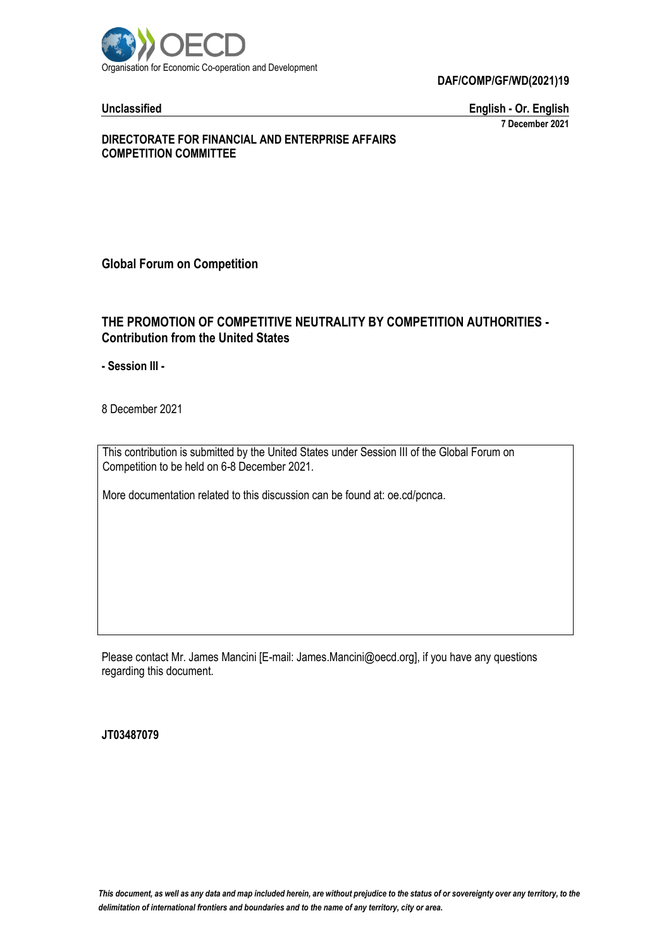

**DAF/COMP/GF/WD(2021)19**

**Unclassified English - Or. English 7 December 2021**

#### **DIRECTORATE FOR FINANCIAL AND ENTERPRISE AFFAIRS COMPETITION COMMITTEE**

**Global Forum on Competition**

## **THE PROMOTION OF COMPETITIVE NEUTRALITY BY COMPETITION AUTHORITIES - Contribution from the United States**

**- Session III -**

8 December 2021

This contribution is submitted by the United States under Session III of the Global Forum on Competition to be held on 6-8 December 2021.

More documentation related to this discussion can be found at: oe.cd/pcnca.

Please contact Mr. James Mancini [E-mail: James.Mancini@oecd.org], if you have any questions regarding this document.

**JT03487079**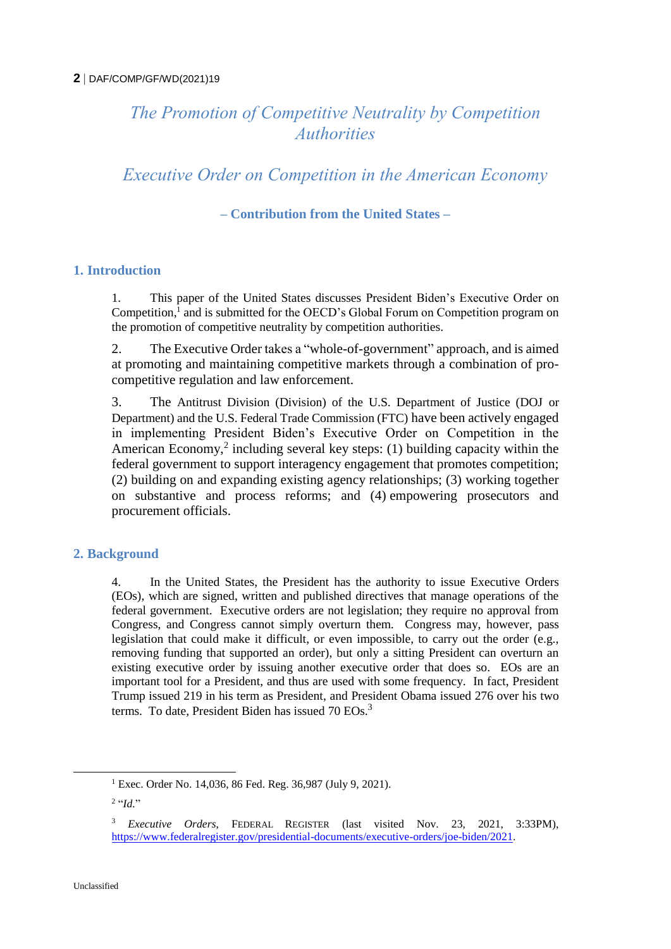# *The Promotion of Competitive Neutrality by Competition Authorities*

*Executive Order on Competition in the American Economy*

**– Contribution from the United States –**

# **1. Introduction**

1. This paper of the United States discusses President Biden's Executive Order on Competition, 1 and is submitted for the OECD's Global Forum on Competition program on the promotion of competitive neutrality by competition authorities.

2. The Executive Order takes a "whole-of-government" approach, and is aimed at promoting and maintaining competitive markets through a combination of procompetitive regulation and law enforcement.

3. The Antitrust Division (Division) of the U.S. Department of Justice (DOJ or Department) and the U.S. Federal Trade Commission (FTC) have been actively engaged in implementing President Biden's Executive Order on Competition in the American Economy,<sup>2</sup> including several key steps: (1) building capacity within the federal government to support interagency engagement that promotes competition; (2) building on and expanding existing agency relationships; (3) working together on substantive and process reforms; and (4) empowering prosecutors and procurement officials.

# **2. Background**

4. In the United States, the President has the authority to issue Executive Orders (EOs), which are signed, written and published directives that manage operations of the federal government. Executive orders are not legislation; they require no approval from Congress, and Congress cannot simply overturn them. Congress may, however, pass legislation that could make it difficult, or even impossible, to carry out the order (e.g., removing funding that supported an order), but only a sitting President can overturn an existing executive order by issuing another executive order that does so. EOs are an important tool for a President, and thus are used with some frequency. In fact, President Trump issued 219 in his term as President, and President Obama issued 276 over his two terms. To date, President Biden has issued 70 EOs.<sup>3</sup>

<sup>&</sup>lt;sup>1</sup> Exec. Order No. 14,036, 86 Fed. Reg. 36,987 (July 9, 2021).

<sup>2</sup> "*Id.*"

<sup>3</sup> *Executive Orders*, FEDERAL REGISTER (last visited Nov. 23, 2021, 3:33PM), [https://www.federalregister.gov/presidential-documents/executive-orders/joe-biden/2021.](https://www.federalregister.gov/presidential-documents/executive-orders/joe-biden/2021)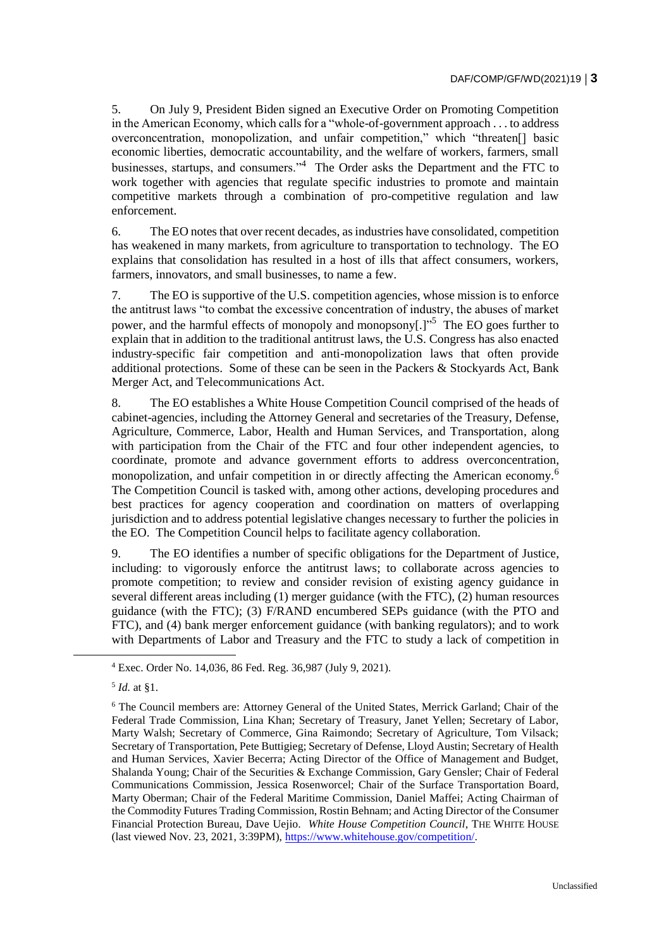5. On July 9, President Biden signed an Executive Order on Promoting Competition in the American Economy, which calls for a "whole-of-government approach . . . to address overconcentration, monopolization, and unfair competition," which "threaten[] basic economic liberties, democratic accountability, and the welfare of workers, farmers, small businesses, startups, and consumers."<sup>4</sup> The Order asks the Department and the FTC to work together with agencies that regulate specific industries to promote and maintain competitive markets through a combination of pro-competitive regulation and law enforcement.

6. The EO notes that over recent decades, as industries have consolidated, competition has weakened in many markets, from agriculture to transportation to technology. The EO explains that consolidation has resulted in a host of ills that affect consumers, workers, farmers, innovators, and small businesses, to name a few.

7. The EO is supportive of the U.S. competition agencies, whose mission is to enforce the antitrust laws "to combat the excessive concentration of industry, the abuses of market power, and the harmful effects of monopoly and monopsony[.]<sup>55</sup> The EO goes further to explain that in addition to the traditional antitrust laws, the U.S. Congress has also enacted industry-specific fair competition and anti-monopolization laws that often provide additional protections. Some of these can be seen in the Packers & Stockyards Act, Bank Merger Act, and Telecommunications Act.

8. The EO establishes a White House Competition Council comprised of the heads of cabinet-agencies, including the Attorney General and secretaries of the Treasury, Defense, Agriculture, Commerce, Labor, Health and Human Services, and Transportation, along with participation from the Chair of the FTC and four other independent agencies, to coordinate, promote and advance government efforts to address overconcentration, monopolization, and unfair competition in or directly affecting the American economy.<sup>6</sup> The Competition Council is tasked with, among other actions, developing procedures and best practices for agency cooperation and coordination on matters of overlapping jurisdiction and to address potential legislative changes necessary to further the policies in the EO. The Competition Council helps to facilitate agency collaboration.

9. The EO identifies a number of specific obligations for the Department of Justice, including: to vigorously enforce the antitrust laws; to collaborate across agencies to promote competition; to review and consider revision of existing agency guidance in several different areas including (1) merger guidance (with the FTC), (2) human resources guidance (with the FTC); (3) F/RAND encumbered SEPs guidance (with the PTO and FTC), and (4) bank merger enforcement guidance (with banking regulators); and to work with Departments of Labor and Treasury and the FTC to study a lack of competition in

 $\overline{a}$ 

<sup>4</sup> Exec. Order No. 14,036, 86 Fed. Reg. 36,987 (July 9, 2021).

<sup>5</sup> *Id.* at §1.

<sup>6</sup> The Council members are: Attorney General of the United States, Merrick Garland; Chair of the Federal Trade Commission, Lina Khan; Secretary of Treasury, Janet Yellen; Secretary of Labor, Marty Walsh; Secretary of Commerce, Gina Raimondo; Secretary of Agriculture, Tom Vilsack; Secretary of Transportation, Pete Buttigieg; Secretary of Defense, Lloyd Austin; Secretary of Health and Human Services, Xavier Becerra; Acting Director of the Office of Management and Budget, Shalanda Young; Chair of the Securities & Exchange Commission, Gary Gensler; Chair of Federal Communications Commission, Jessica Rosenworcel; Chair of the Surface Transportation Board, Marty Oberman; Chair of the Federal Maritime Commission, Daniel Maffei; Acting Chairman of the Commodity Futures Trading Commission, Rostin Behnam; and Acting Director of the Consumer Financial Protection Bureau, Dave Uejio.*White House Competition Council*, THE WHITE HOUSE (last viewed Nov. 23, 2021, 3:39PM), [https://www.whitehouse.gov/competition/.](https://www.whitehouse.gov/competition/)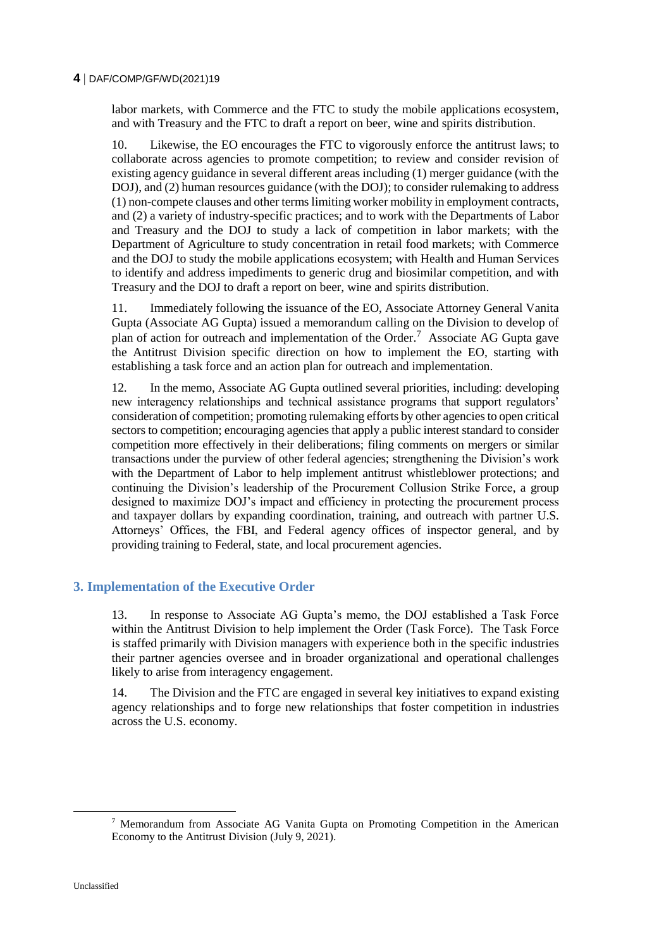#### **4** DAF/COMP/GF/WD(2021)19

labor markets, with Commerce and the FTC to study the mobile applications ecosystem, and with Treasury and the FTC to draft a report on beer, wine and spirits distribution.

10. Likewise, the EO encourages the FTC to vigorously enforce the antitrust laws; to collaborate across agencies to promote competition; to review and consider revision of existing agency guidance in several different areas including (1) merger guidance (with the DOJ), and (2) human resources guidance (with the DOJ); to consider rulemaking to address (1) non-compete clauses and other terms limiting worker mobility in employment contracts, and (2) a variety of industry-specific practices; and to work with the Departments of Labor and Treasury and the DOJ to study a lack of competition in labor markets; with the Department of Agriculture to study concentration in retail food markets; with Commerce and the DOJ to study the mobile applications ecosystem; with Health and Human Services to identify and address impediments to generic drug and biosimilar competition, and with Treasury and the DOJ to draft a report on beer, wine and spirits distribution.

11. Immediately following the issuance of the EO, Associate Attorney General Vanita Gupta (Associate AG Gupta) issued a memorandum calling on the Division to develop of plan of action for outreach and implementation of the Order.<sup>7</sup> Associate AG Gupta gave the Antitrust Division specific direction on how to implement the EO, starting with establishing a task force and an action plan for outreach and implementation.

12. In the memo, Associate AG Gupta outlined several priorities, including: developing new interagency relationships and technical assistance programs that support regulators' consideration of competition; promoting rulemaking efforts by other agencies to open critical sectors to competition; encouraging agencies that apply a public interest standard to consider competition more effectively in their deliberations; filing comments on mergers or similar transactions under the purview of other federal agencies; strengthening the Division's work with the Department of Labor to help implement antitrust whistleblower protections; and continuing the Division's leadership of the Procurement Collusion Strike Force, a group designed to maximize DOJ's impact and efficiency in protecting the procurement process and taxpayer dollars by expanding coordination, training, and outreach with partner U.S. Attorneys' Offices, the FBI, and Federal agency offices of inspector general, and by providing training to Federal, state, and local procurement agencies.

#### **3. Implementation of the Executive Order**

13. In response to Associate AG Gupta's memo, the DOJ established a Task Force within the Antitrust Division to help implement the Order (Task Force). The Task Force is staffed primarily with Division managers with experience both in the specific industries their partner agencies oversee and in broader organizational and operational challenges likely to arise from interagency engagement.

14. The Division and the FTC are engaged in several key initiatives to expand existing agency relationships and to forge new relationships that foster competition in industries across the U.S. economy.

<sup>7</sup> Memorandum from Associate AG Vanita Gupta on Promoting Competition in the American Economy to the Antitrust Division (July 9, 2021).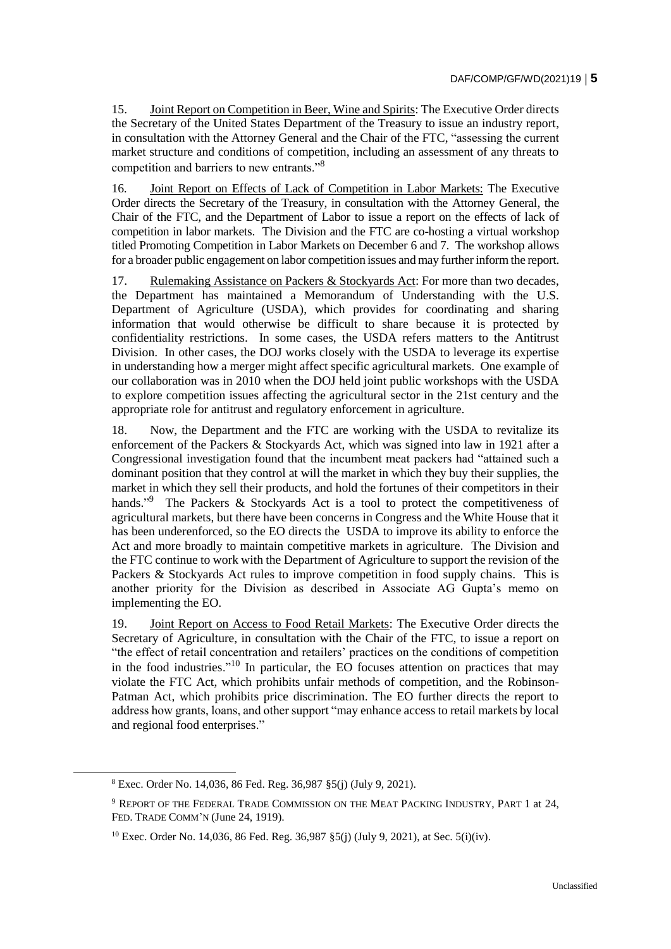15. Joint Report on Competition in Beer, Wine and Spirits: The Executive Order directs the Secretary of the United States Department of the Treasury to issue an industry report, in consultation with the Attorney General and the Chair of the FTC, "assessing the current market structure and conditions of competition, including an assessment of any threats to competition and barriers to new entrants."<sup>8</sup>

16. Joint Report on Effects of Lack of Competition in Labor Markets: The Executive Order directs the Secretary of the Treasury, in consultation with the Attorney General, the Chair of the FTC, and the Department of Labor to issue a report on the effects of lack of competition in labor markets. The Division and the FTC are co-hosting a virtual workshop titled Promoting Competition in Labor Markets on December 6 and 7. The workshop allows for a broader public engagement on labor competition issues and may further inform the report.

17. Rulemaking Assistance on Packers & Stockyards Act: For more than two decades, the Department has maintained a Memorandum of Understanding with the U.S. Department of Agriculture (USDA), which provides for coordinating and sharing information that would otherwise be difficult to share because it is protected by confidentiality restrictions. In some cases, the USDA refers matters to the Antitrust Division. In other cases, the DOJ works closely with the USDA to leverage its expertise in understanding how a merger might affect specific agricultural markets. One example of our collaboration was in 2010 when the DOJ held joint public workshops with the USDA to explore competition issues affecting the agricultural sector in the 21st century and the appropriate role for antitrust and regulatory enforcement in agriculture.

18. Now, the Department and the FTC are working with the USDA to revitalize its enforcement of the Packers & Stockyards Act, which was signed into law in 1921 after a Congressional investigation found that the incumbent meat packers had "attained such a dominant position that they control at will the market in which they buy their supplies, the market in which they sell their products, and hold the fortunes of their competitors in their hands."<sup>9</sup> The Packers & Stockyards Act is a tool to protect the competitiveness of agricultural markets, but there have been concerns in Congress and the White House that it has been underenforced, so the EO directs the USDA to improve its ability to enforce the Act and more broadly to maintain competitive markets in agriculture. The Division and the FTC continue to work with the Department of Agriculture to support the revision of the Packers & Stockyards Act rules to improve competition in food supply chains. This is another priority for the Division as described in Associate AG Gupta's memo on implementing the EO.

19. Joint Report on Access to Food Retail Markets: The Executive Order directs the Secretary of Agriculture, in consultation with the Chair of the FTC, to issue a report on "the effect of retail concentration and retailers' practices on the conditions of competition in the food industries. $10^1$  In particular, the EO focuses attention on practices that may violate the FTC Act, which prohibits unfair methods of competition, and the Robinson-Patman Act, which prohibits price discrimination. The EO further directs the report to address how grants, loans, and other support "may enhance access to retail markets by local and regional food enterprises."

<sup>8</sup> Exec. Order No. 14,036, 86 Fed. Reg. 36,987 §5(j) (July 9, 2021).

<sup>9</sup> REPORT OF THE FEDERAL TRADE COMMISSION ON THE MEAT PACKING INDUSTRY, PART 1 at 24, FED. TRADE COMM'N (June 24, 1919).

<sup>10</sup> Exec. Order No. 14,036, 86 Fed. Reg. 36,987 §5(j) (July 9, 2021), at Sec. 5(i)(iv).